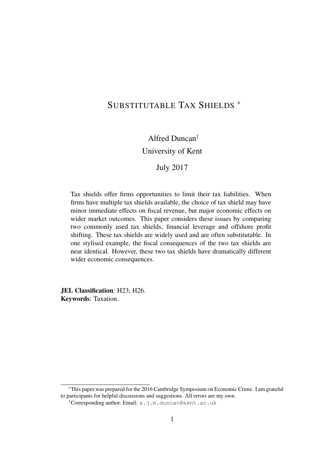# SUBSTITUTABLE TAX SHIELDS <sup>∗</sup>

# Alfred Duncan†

# University of Kent

# July 2017

Tax shields offer firms opportunities to limit their tax liabilities. When firms have multiple tax shields available, the choice of tax shield may have minor immediate effects on fiscal revenue, but major economic effects on wider market outcomes. This paper considers these issues by comparing two commonly used tax shields, financial leverage and offshore profit shifting. These tax shields are widely used and are often substitutable. In one stylised example, the fiscal consequences of the two tax shields are near identical. However, these two tax shields have dramatically different wider economic consequences.

JEL Classification: H23; H26. Keywords: Taxation.

<sup>∗</sup>This paper was prepared for the 2016 Cambridge Symposium on Economic Crime. I am grateful to participants for helpful discussions and suggestions. All errors are my own.

<sup>†</sup>Corresponding author. Email: a.j.m.duncan@kent.ac.uk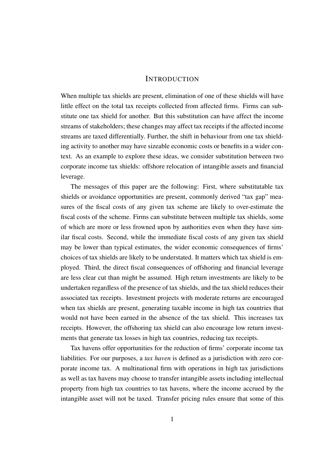#### **INTRODUCTION**

When multiple tax shields are present, elimination of one of these shields will have little effect on the total tax receipts collected from affected firms. Firms can substitute one tax shield for another. But this substitution can have affect the income streams of stakeholders; these changes may affect tax receipts if the affected income streams are taxed differentially. Further, the shift in behaviour from one tax shielding activity to another may have sizeable economic costs or benefits in a wider context. As an example to explore these ideas, we consider substitution between two corporate income tax shields: offshore relocation of intangible assets and financial leverage.

The messages of this paper are the following: First, where substitutable tax shields or avoidance opportunities are present, commonly derived "tax gap" measures of the fiscal costs of any given tax scheme are likely to over-estimate the fiscal costs of the scheme. Firms can substitute between multiple tax shields, some of which are more or less frowned upon by authorities even when they have similar fiscal costs. Second, while the immediate fiscal costs of any given tax shield may be lower than typical estimates, the wider economic consequences of firms' choices of tax shields are likely to be understated. It matters which tax shield is employed. Third, the direct fiscal consequences of offshoring and financial leverage are less clear cut than might be assumed. High return investments are likely to be undertaken regardless of the presence of tax shields, and the tax shield reduces their associated tax receipts. Investment projects with moderate returns are encouraged when tax shields are present, generating taxable income in high tax countries that would not have been earned in the absence of the tax shield. This increases tax receipts. However, the offshoring tax shield can also encourage low return investments that generate tax losses in high tax countries, reducing tax receipts.

Tax havens offer opportunities for the reduction of firms' corporate income tax liabilities. For our purposes, a *tax haven* is defined as a jurisdiction with zero corporate income tax. A multinational firm with operations in high tax jurisdictions as well as tax havens may choose to transfer intangible assets including intellectual property from high tax countries to tax havens, where the income accrued by the intangible asset will not be taxed. Transfer pricing rules ensure that some of this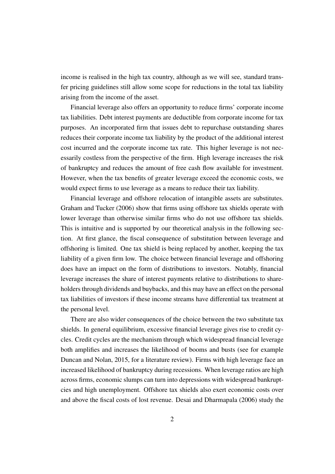income is realised in the high tax country, although as we will see, standard transfer pricing guidelines still allow some scope for reductions in the total tax liability arising from the income of the asset.

Financial leverage also offers an opportunity to reduce firms' corporate income tax liabilities. Debt interest payments are deductible from corporate income for tax purposes. An incorporated firm that issues debt to repurchase outstanding shares reduces their corporate income tax liability by the product of the additional interest cost incurred and the corporate income tax rate. This higher leverage is not necessarily costless from the perspective of the firm. High leverage increases the risk of bankruptcy and reduces the amount of free cash flow available for investment. However, when the tax benefits of greater leverage exceed the economic costs, we would expect firms to use leverage as a means to reduce their tax liability.

Financial leverage and offshore relocation of intangible assets are substitutes. Graham and Tucker (2006) show that firms using offshore tax shields operate with lower leverage than otherwise similar firms who do not use offshore tax shields. This is intuitive and is supported by our theoretical analysis in the following section. At first glance, the fiscal consequence of substitution between leverage and offshoring is limited. One tax shield is being replaced by another, keeping the tax liability of a given firm low. The choice between financial leverage and offshoring does have an impact on the form of distributions to investors. Notably, financial leverage increases the share of interest payments relative to distributions to shareholders through dividends and buybacks, and this may have an effect on the personal tax liabilities of investors if these income streams have differential tax treatment at the personal level.

There are also wider consequences of the choice between the two substitute tax shields. In general equilibrium, excessive financial leverage gives rise to credit cycles. Credit cycles are the mechanism through which widespread financial leverage both amplifies and increases the likelihood of booms and busts (see for example Duncan and Nolan, 2015, for a literature review). Firms with high leverage face an increased likelihood of bankruptcy during recessions. When leverage ratios are high across firms, economic slumps can turn into depressions with widespread bankruptcies and high unemployment. Offshore tax shields also exert economic costs over and above the fiscal costs of lost revenue. Desai and Dharmapala (2006) study the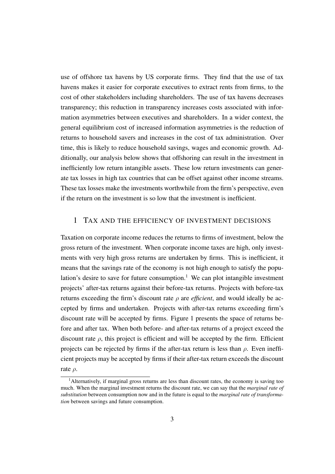use of offshore tax havens by US corporate firms. They find that the use of tax havens makes it easier for corporate executives to extract rents from firms, to the cost of other stakeholders including shareholders. The use of tax havens decreases transparency; this reduction in transparency increases costs associated with information asymmetries between executives and shareholders. In a wider context, the general equilibrium cost of increased information asymmetries is the reduction of returns to household savers and increases in the cost of tax administration. Over time, this is likely to reduce household savings, wages and economic growth. Additionally, our analysis below shows that offshoring can result in the investment in inefficiently low return intangible assets. These low return investments can generate tax losses in high tax countries that can be offset against other income streams. These tax losses make the investments worthwhile from the firm's perspective, even if the return on the investment is so low that the investment is inefficient.

#### 1 TAX AND THE EFFICIENCY OF INVESTMENT DECISIONS

Taxation on corporate income reduces the returns to firms of investment, below the gross return of the investment. When corporate income taxes are high, only investments with very high gross returns are undertaken by firms. This is inefficient, it means that the savings rate of the economy is not high enough to satisfy the population's desire to save for future consumption.<sup>1</sup> We can plot intangible investment projects' after-tax returns against their before-tax returns. Projects with before-tax returns exceeding the firm's discount rate  $\rho$  are *efficient*, and would ideally be accepted by firms and undertaken. Projects with after-tax returns exceeding firm's discount rate will be accepted by firms. Figure 1 presents the space of returns before and after tax. When both before- and after-tax returns of a project exceed the discount rate  $\rho$ , this project is efficient and will be accepted by the firm. Efficient projects can be rejected by firms if the after-tax return is less than  $\rho$ . Even inefficient projects may be accepted by firms if their after-tax return exceeds the discount rate  $\rho$ .

<sup>&</sup>lt;sup>1</sup>Alternatively, if marginal gross returns are less than discount rates, the economy is saving too much. When the marginal investment returns the discount rate, we can say that the *marginal rate of substitution* between consumption now and in the future is equal to the *marginal rate of transformation* between savings and future consumption.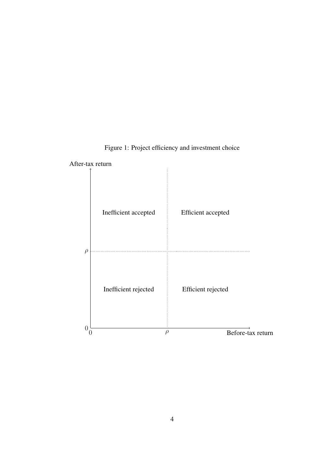

Figure 1: Project efficiency and investment choice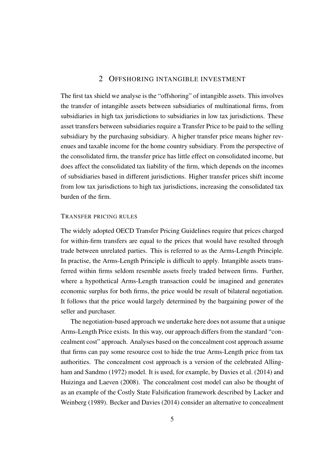### 2 OFFSHORING INTANGIBLE INVESTMENT

The first tax shield we analyse is the "offshoring" of intangible assets. This involves the transfer of intangible assets between subsidiaries of multinational firms, from subsidiaries in high tax jurisdictions to subsidiaries in low tax jurisdictions. These asset transfers between subsidiaries require a Transfer Price to be paid to the selling subsidiary by the purchasing subsidiary. A higher transfer price means higher revenues and taxable income for the home country subsidiary. From the perspective of the consolidated firm, the transfer price has little effect on consolidated income, but does affect the consolidated tax liability of the firm, which depends on the incomes of subsidiaries based in different jurisdictions. Higher transfer prices shift income from low tax jurisdictions to high tax jurisdictions, increasing the consolidated tax burden of the firm.

#### TRANSFER PRICING RULES

The widely adopted OECD Transfer Pricing Guidelines require that prices charged for within-firm transfers are equal to the prices that would have resulted through trade between unrelated parties. This is referred to as the Arms-Length Principle. In practise, the Arms-Length Principle is difficult to apply. Intangible assets transferred within firms seldom resemble assets freely traded between firms. Further, where a hypothetical Arms-Length transaction could be imagined and generates economic surplus for both firms, the price would be result of bilateral negotiation. It follows that the price would largely determined by the bargaining power of the seller and purchaser.

The negotiation-based approach we undertake here does not assume that a unique Arms-Length Price exists. In this way, our approach differs from the standard "concealment cost" approach. Analyses based on the concealment cost approach assume that firms can pay some resource cost to hide the true Arms-Length price from tax authorities. The concealment cost approach is a version of the celebrated Allingham and Sandmo (1972) model. It is used, for example, by Davies et al. (2014) and Huizinga and Laeven (2008). The concealment cost model can also be thought of as an example of the Costly State Falsification framework described by Lacker and Weinberg (1989). Becker and Davies (2014) consider an alternative to concealment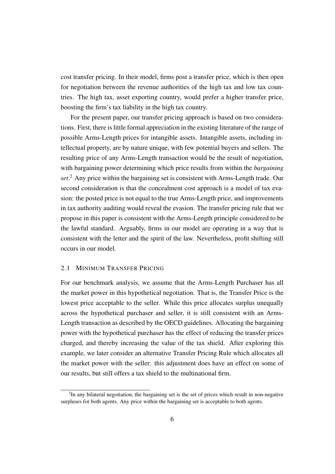cost transfer pricing. In their model, firms post a transfer price, which is then open for negotiation between the revenue authorities of the high tax and low tax countries. The high tax, asset exporting country, would prefer a higher transfer price, boosting the firm's tax liability in the high tax country.

For the present paper, our transfer pricing approach is based on two considerations. First, there is little formal appreciation in the existing literature of the range of possible Arms-Length prices for intangible assets. Intangible assets, including intellectual property, are by nature unique, with few potential buyers and sellers. The resulting price of any Arms-Length transaction would be the result of negotiation, with bargaining power determining which price results from within the *bargaining set*. <sup>2</sup> Any price within the bargaining set is consistent with Arms-Length trade. Our second consideration is that the concealment cost approach is a model of tax evasion: the posted price is not equal to the true Arms-Length price, and improvements in tax authority auditing would reveal the evasion. The transfer pricing rule that we propose in this paper is consistent with the Arms-Length principle considered to be the lawful standard. Arguably, firms in our model are operating in a way that is consistent with the letter and the spirit of the law. Nevertheless, profit shifting still occurs in our model.

## 2.1 MINIMUM TRANSFER PRICING

For our benchmark analysis, we assume that the Arms-Length Purchaser has all the market power in this hypothetical negotiation. That is, the Transfer Price is the lowest price acceptable to the seller. While this price allocates surplus unequally across the hypothetical purchaser and seller, it is still consistent with an Arms-Length transaction as described by the OECD guidelines. Allocating the bargaining power with the hypothetical purchaser has the effect of reducing the transfer prices charged, and thereby increasing the value of the tax shield. After exploring this example, we later consider an alternative Transfer Pricing Rule which allocates all the market power with the seller: this adjustment does have an effect on some of our results, but still offers a tax shield to the multinational firm.

 $2$ In any bilateral negotiation, the bargaining set is the set of prices which result in non-negative surpluses for both agents. Any price within the bargaining set is acceptable to both agents.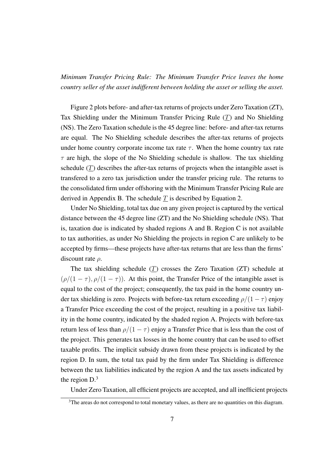*Minimum Transfer Pricing Rule: The Minimum Transfer Price leaves the home country seller of the asset indifferent between holding the asset or selling the asset.*

Figure 2 plots before- and after-tax returns of projects under Zero Taxation (ZT), Tax Shielding under the Minimum Transfer Pricing Rule (T) and No Shielding (NS). The Zero Taxation schedule is the 45 degree line: before- and after-tax returns are equal. The No Shielding schedule describes the after-tax returns of projects under home country corporate income tax rate  $\tau$ . When the home country tax rate  $\tau$  are high, the slope of the No Shielding schedule is shallow. The tax shielding schedule  $(T)$  describes the after-tax returns of projects when the intangible asset is transfered to a zero tax jurisdiction under the transfer pricing rule. The returns to the consolidated firm under offshoring with the Minimum Transfer Pricing Rule are derived in Appendix B. The schedule  $T$  is described by Equation 2.

Under No Shielding, total tax due on any given project is captured by the vertical distance between the 45 degree line (ZT) and the No Shielding schedule (NS). That is, taxation due is indicated by shaded regions A and B. Region C is not available to tax authorities, as under No Shielding the projects in region C are unlikely to be accepted by firms—these projects have after-tax returns that are less than the firms' discount rate ρ.

The tax shielding schedule  $(T)$  crosses the Zero Taxation  $(T)$  schedule at  $(\rho/(1 - \tau), \rho/(1 - \tau))$ . At this point, the Transfer Price of the intangible asset is equal to the cost of the project; consequently, the tax paid in the home country under tax shielding is zero. Projects with before-tax return exceeding  $\rho/(1-\tau)$  enjoy a Transfer Price exceeding the cost of the project, resulting in a positive tax liability in the home country, indicated by the shaded region A. Projects with before-tax return less of less than  $\rho/(1 - \tau)$  enjoy a Transfer Price that is less than the cost of the project. This generates tax losses in the home country that can be used to offset taxable profits. The implicit subsidy drawn from these projects is indicated by the region D. In sum, the total tax paid by the firm under Tax Shielding is difference between the tax liabilities indicated by the region A and the tax assets indicated by the region  $D<sup>3</sup>$ 

Under Zero Taxation, all efficient projects are accepted, and all inefficient projects

<sup>&</sup>lt;sup>3</sup>The areas do not correspond to total monetary values, as there are no quantities on this diagram.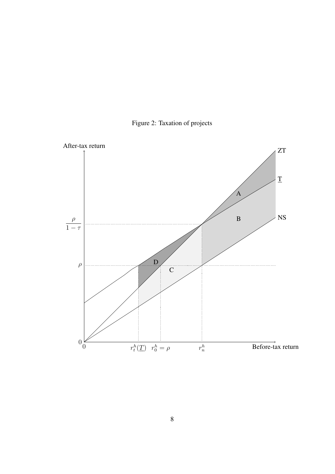

Figure 2: Taxation of projects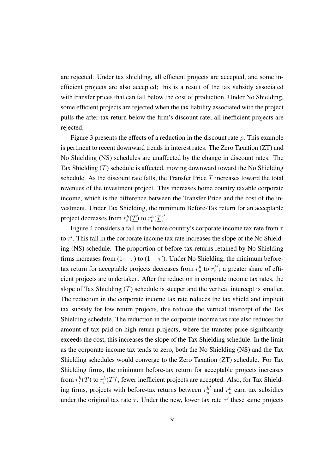are rejected. Under tax shielding, all efficient projects are accepted, and some inefficient projects are also accepted; this is a result of the tax subsidy associated with transfer prices that can fall below the cost of production. Under No Shielding, some efficient projects are rejected when the tax liability associated with the project pulls the after-tax return below the firm's discount rate; all inefficient projects are rejected.

Figure 3 presents the effects of a reduction in the discount rate  $\rho$ . This example is pertinent to recent downward trends in interest rates. The Zero Taxation (ZT) and No Shielding (NS) schedules are unaffected by the change in discount rates. The Tax Shielding (T) schedule is affected, moving downward toward the No Shielding schedule. As the discount rate falls, the Transfer Price  $T$  increases toward the total revenues of the investment project. This increases home country taxable corporate income, which is the difference between the Transfer Price and the cost of the investment. Under Tax Shielding, the minimum Before-Tax return for an acceptable project decreases from  $r_t^h(\underline{T})$  to  $r_t^h(\underline{T})'$ .

Figure 4 considers a fall in the home country's corporate income tax rate from  $\tau$ to  $\tau'$ . This fall in the corporate income tax rate increases the slope of the No Shielding (NS) schedule. The proportion of before-tax returns retained by No Shielding firms increases from  $(1 - \tau)$  to  $(1 - \tau')$ . Under No Shielding, the minimum beforetax return for acceptable projects decreases from  $r_n^h$  to  $r_n^h$ '; a greater share of efficient projects are undertaken. After the reduction in corporate income tax rates, the slope of Tax Shielding  $(T)$  schedule is steeper and the vertical intercept is smaller. The reduction in the corporate income tax rate reduces the tax shield and implicit tax subsidy for low return projects, this reduces the vertical intercept of the Tax Shielding schedule. The reduction in the corporate income tax rate also reduces the amount of tax paid on high return projects; where the transfer price significantly exceeds the cost, this increases the slope of the Tax Shielding schedule. In the limit as the corporate income tax tends to zero, both the No Shielding (NS) and the Tax Shielding schedules would converge to the Zero Taxation (ZT) schedule. For Tax Shielding firms, the minimum before-tax return for acceptable projects increases from  $r_t^h(\underline{T})$  to  $r_t^h(\underline{T})'$ , fewer inefficient projects are accepted. Also, for Tax Shielding firms, projects with before-tax returns between  $r_n^h$  $\int$  and  $r_n^h$  earn tax subsidies under the original tax rate  $\tau$ . Under the new, lower tax rate  $\tau'$  these same projects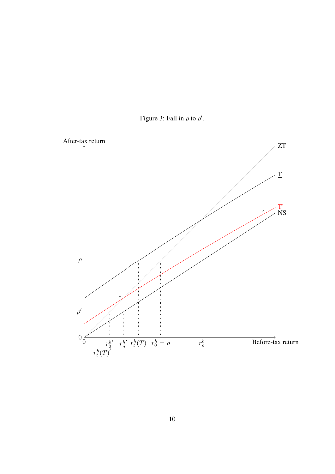

Figure 3: Fall in  $\rho$  to  $\rho'$ .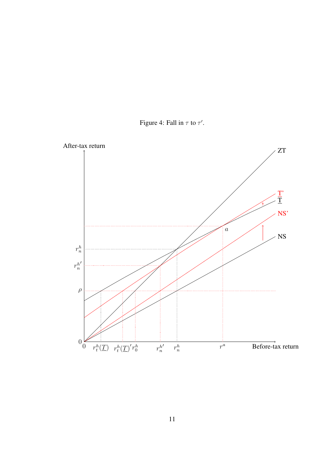

Figure 4: Fall in  $\tau$  to  $\tau'$ .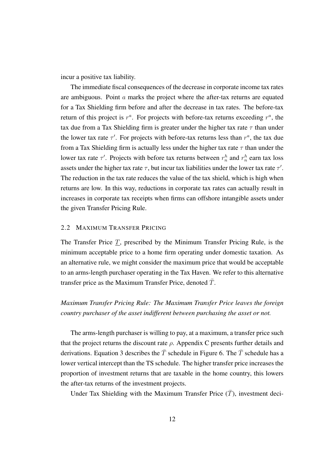incur a positive tax liability.

The immediate fiscal consequences of the decrease in corporate income tax rates are ambiguous. Point a marks the project where the after-tax returns are equated for a Tax Shielding firm before and after the decrease in tax rates. The before-tax return of this project is  $r^a$ . For projects with before-tax returns exceeding  $r^a$ , the tax due from a Tax Shielding firm is greater under the higher tax rate  $\tau$  than under the lower tax rate  $\tau'$ . For projects with before-tax returns less than  $r^a$ , the tax due from a Tax Shielding firm is actually less under the higher tax rate  $\tau$  than under the lower tax rate  $\tau'$ . Projects with before tax returns between  $r_n^h$  and  $r_n^h$  earn tax loss assets under the higher tax rate  $\tau$ , but incur tax liabilities under the lower tax rate  $\tau'$ . The reduction in the tax rate reduces the value of the tax shield, which is high when returns are low. In this way, reductions in corporate tax rates can actually result in increases in corporate tax receipts when firms can offshore intangible assets under the given Transfer Pricing Rule.

#### 2.2 MAXIMUM TRANSFER PRICING

The Transfer Price  $\underline{T}$ , prescribed by the Minimum Transfer Pricing Rule, is the minimum acceptable price to a home firm operating under domestic taxation. As an alternative rule, we might consider the maximum price that would be acceptable to an arms-length purchaser operating in the Tax Haven. We refer to this alternative transfer price as the Maximum Transfer Price, denoted  $\overline{T}$ .

# *Maximum Transfer Pricing Rule: The Maximum Transfer Price leaves the foreign country purchaser of the asset indifferent between purchasing the asset or not.*

The arms-length purchaser is willing to pay, at a maximum, a transfer price such that the project returns the discount rate  $\rho$ . Appendix C presents further details and derivations. Equation 3 describes the  $\overline{T}$  schedule in Figure 6. The  $\overline{T}$  schedule has a lower vertical intercept than the TS schedule. The higher transfer price increases the proportion of investment returns that are taxable in the home country, this lowers the after-tax returns of the investment projects.

Under Tax Shielding with the Maximum Transfer Price  $(\overline{T})$ , investment deci-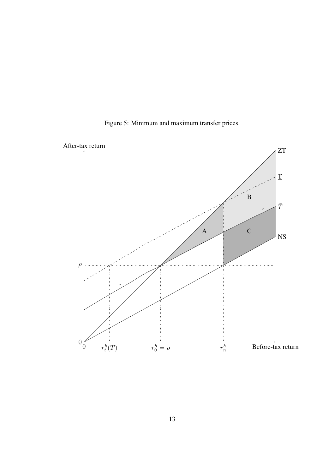

Figure 5: Minimum and maximum transfer prices.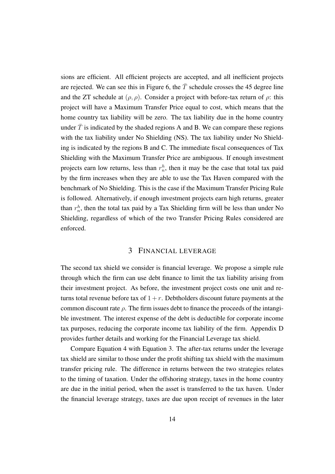sions are efficient. All efficient projects are accepted, and all inefficient projects are rejected. We can see this in Figure 6, the  $\overline{T}$  schedule crosses the 45 degree line and the ZT schedule at  $(\rho, \rho)$ . Consider a project with before-tax return of  $\rho$ : this project will have a Maximum Transfer Price equal to cost, which means that the home country tax liability will be zero. The tax liability due in the home country under  $\overline{T}$  is indicated by the shaded regions A and B. We can compare these regions with the tax liability under No Shielding (NS). The tax liability under No Shielding is indicated by the regions B and C. The immediate fiscal consequences of Tax Shielding with the Maximum Transfer Price are ambiguous. If enough investment projects earn low returns, less than  $r_n^h$ , then it may be the case that total tax paid by the firm increases when they are able to use the Tax Haven compared with the benchmark of No Shielding. This is the case if the Maximum Transfer Pricing Rule is followed. Alternatively, if enough investment projects earn high returns, greater than  $r_n^h$ , then the total tax paid by a Tax Shielding firm will be less than under No Shielding, regardless of which of the two Transfer Pricing Rules considered are enforced.

#### 3 FINANCIAL LEVERAGE

The second tax shield we consider is financial leverage. We propose a simple rule through which the firm can use debt finance to limit the tax liability arising from their investment project. As before, the investment project costs one unit and returns total revenue before tax of  $1 + r$ . Debtholders discount future payments at the common discount rate  $\rho$ . The firm issues debt to finance the proceeds of the intangible investment. The interest expense of the debt is deductible for corporate income tax purposes, reducing the corporate income tax liability of the firm. Appendix D provides further details and working for the Financial Leverage tax shield.

Compare Equation 4 with Equation 3. The after-tax returns under the leverage tax shield are similar to those under the profit shifting tax shield with the maximum transfer pricing rule. The difference in returns between the two strategies relates to the timing of taxation. Under the offshoring strategy, taxes in the home country are due in the initial period, when the asset is transferred to the tax haven. Under the financial leverage strategy, taxes are due upon receipt of revenues in the later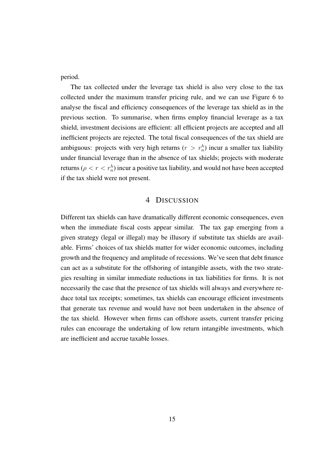period.

The tax collected under the leverage tax shield is also very close to the tax collected under the maximum transfer pricing rule, and we can use Figure 6 to analyse the fiscal and efficiency consequences of the leverage tax shield as in the previous section. To summarise, when firms employ financial leverage as a tax shield, investment decisions are efficient: all efficient projects are accepted and all inefficient projects are rejected. The total fiscal consequences of the tax shield are ambiguous: projects with very high returns ( $r > r_n^h$ ) incur a smaller tax liability under financial leverage than in the absence of tax shields; projects with moderate returns ( $\rho < r < r_n^h$ ) incur a positive tax liability, and would not have been accepted if the tax shield were not present.

### 4 DISCUSSION

Different tax shields can have dramatically different economic consequences, even when the immediate fiscal costs appear similar. The tax gap emerging from a given strategy (legal or illegal) may be illusory if substitute tax shields are available. Firms' choices of tax shields matter for wider economic outcomes, including growth and the frequency and amplitude of recessions. We've seen that debt finance can act as a substitute for the offshoring of intangible assets, with the two strategies resulting in similar immediate reductions in tax liabilities for firms. It is not necessarily the case that the presence of tax shields will always and everywhere reduce total tax receipts; sometimes, tax shields can encourage efficient investments that generate tax revenue and would have not been undertaken in the absence of the tax shield. However when firms can offshore assets, current transfer pricing rules can encourage the undertaking of low return intangible investments, which are inefficient and accrue taxable losses.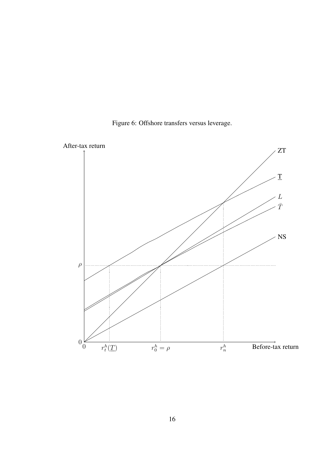

Figure 6: Offshore transfers versus leverage.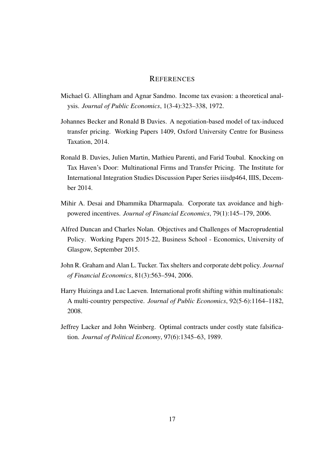#### **REFERENCES**

- Michael G. Allingham and Agnar Sandmo. Income tax evasion: a theoretical analysis. *Journal of Public Economics*, 1(3-4):323–338, 1972.
- Johannes Becker and Ronald B Davies. A negotiation-based model of tax-induced transfer pricing. Working Papers 1409, Oxford University Centre for Business Taxation, 2014.
- Ronald B. Davies, Julien Martin, Mathieu Parenti, and Farid Toubal. Knocking on Tax Haven's Door: Multinational Firms and Transfer Pricing. The Institute for International Integration Studies Discussion Paper Series iiisdp464, IIIS, December 2014.
- Mihir A. Desai and Dhammika Dharmapala. Corporate tax avoidance and highpowered incentives. *Journal of Financial Economics*, 79(1):145–179, 2006.
- Alfred Duncan and Charles Nolan. Objectives and Challenges of Macroprudential Policy. Working Papers 2015-22, Business School - Economics, University of Glasgow, September 2015.
- John R. Graham and Alan L. Tucker. Tax shelters and corporate debt policy. *Journal of Financial Economics*, 81(3):563–594, 2006.
- Harry Huizinga and Luc Laeven. International profit shifting within multinationals: A multi-country perspective. *Journal of Public Economics*, 92(5-6):1164–1182, 2008.
- Jeffrey Lacker and John Weinberg. Optimal contracts under costly state falsification. *Journal of Political Economy*, 97(6):1345–63, 1989.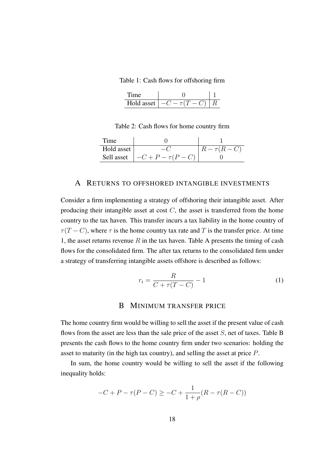Table 1: Cash flows for offshoring firm

| Hold asset | $-(\frac{1}{2})$ |  |
|------------|------------------|--|

Table 2: Cash flows for home country firm

| Time       |                               |               |
|------------|-------------------------------|---------------|
| Hold asset |                               | $R-\tau(R-C)$ |
|            | Sell asset $ -C+P-\tau(P-C) $ |               |

#### A RETURNS TO OFFSHORED INTANGIBLE INVESTMENTS

Consider a firm implementing a strategy of offshoring their intangible asset. After producing their intangible asset at cost  $C$ , the asset is transferred from the home country to the tax haven. This transfer incurs a tax liability in the home country of  $\tau(T - C)$ , where  $\tau$  is the home country tax rate and T is the transfer price. At time 1, the asset returns revenue  $R$  in the tax haven. Table A presents the timing of cash flows for the consolidated firm. The after tax returns to the consolidated firm under a strategy of transferring intangible assets offshore is described as follows:

$$
r_t = \frac{R}{C + \tau(T - C)} - 1\tag{1}
$$

### B MINIMUM TRANSFER PRICE

The home country firm would be willing to sell the asset if the present value of cash flows from the asset are less than the sale price of the asset  $S$ , net of taxes. Table B presents the cash flows to the home country firm under two scenarios: holding the asset to maturity (in the high tax country), and selling the asset at price P.

In sum, the home country would be willing to sell the asset if the following inequality holds:

$$
-C + P - \tau(P - C) \ge -C + \frac{1}{1+\rho}(R - \tau(R - C))
$$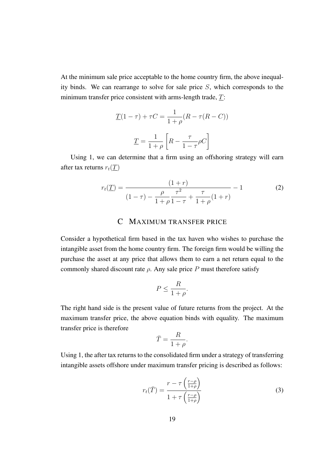At the minimum sale price acceptable to the home country firm, the above inequality binds. We can rearrange to solve for sale price S, which corresponds to the minimum transfer price consistent with arms-length trade, T:

$$
\underline{T}(1-\tau) + \tau C = \frac{1}{1+\rho}(R - \tau(R - C))
$$

$$
\underline{T} = \frac{1}{1+\rho} \left[ R - \frac{\tau}{1-\tau} \rho C \right]
$$

Using 1, we can determine that a firm using an offshoring strategy will earn after tax returns  $r_t(T)$ 

$$
r_t(\underline{T}) = \frac{(1+r)}{(1-\tau) - \frac{\rho}{1+\rho}\frac{\tau^2}{1-\tau} + \frac{\tau}{1+\rho}(1+r)} - 1
$$
 (2)

### C MAXIMUM TRANSFER PRICE

Consider a hypothetical firm based in the tax haven who wishes to purchase the intangible asset from the home country firm. The foreign firm would be willing the purchase the asset at any price that allows them to earn a net return equal to the commonly shared discount rate  $\rho$ . Any sale price P must therefore satisfy

$$
P \le \frac{R}{1+\rho}.
$$

The right hand side is the present value of future returns from the project. At the maximum transfer price, the above equation binds with equality. The maximum transfer price is therefore

$$
\bar{T} = \frac{R}{1+\rho}.
$$

Using 1, the after tax returns to the consolidated firm under a strategy of transferring intangible assets offshore under maximum transfer pricing is described as follows:

$$
r_t(\bar{T}) = \frac{r - \tau \left(\frac{r - \rho}{1 + \rho}\right)}{1 + \tau \left(\frac{r - \rho}{1 + \rho}\right)}\tag{3}
$$